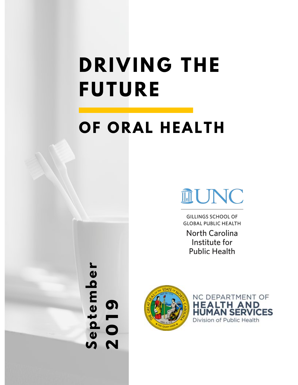# **DRIVING THE FUTURE**

## **OF ORAL HEALTH**



**GILLINGS SCHOOL OF GLOBAL PUBLIC HEALTH** 

**North Carolina** Institute for **Public Health** 



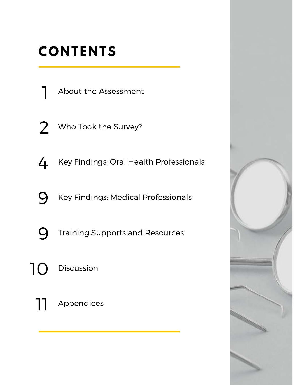## **CONTENTS**

About the Assessment

2 Who Took the Survey?

4 Key Findings: Oral Health Professionals

**Q** Key Findings: Medical Professionals

**Q** Training Supports and Resources

10 Discussion

11 Appendices

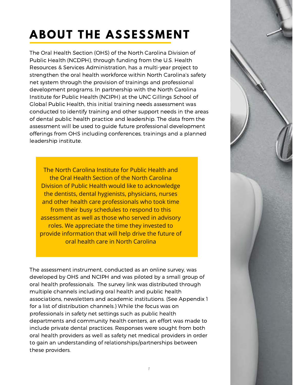## **ABOUT THE ASSESSMENT**

The Oral Health Section (OHS) of the North Carolina Division of Public Health (NCDPH), through funding from the U.S. Health Resources & Services Administration, has a multi-year project to strengthen the oral health workforce within North Carolina's safety net system through the provision of trainings and professional development programs. In partnership with the North Carolina Institute for Public Health (NCIPH) at the UNC Gillings School of Global Public Health, this initial training needs assessment was conducted to identify training and other support needs in the areas of dental public health practice and leadership. The data from the assessment will be used to guide future professional development offerings from OHS including conferences, trainings and a planned leadership institute.

The North Carolina Institute for Public Health and the Oral Health Section of the North Carolina Division of Public Health would like to acknowledge the dentists, dental hygienists, physicians, nurses and other health care professionals who took time from their busy schedules to respond to this assessment as well as those who served in advisory roles. We appreciate the time they invested to provide information that will help drive the future of oral health care in North Carolina

The assessment instrument, conducted as an online survey, was developed by OHS and NCIPH and was piloted by a small group of oral health professionals. The survey link was distributed through multiple channels including oral health and public health associations, newsletters and academic institutions. (See Appendix 1 for a list of distribution channels.) While the focus was on professionals in safety net settings such as public health departments and community health centers, an effort was made to include private dental practices. Responses were sought from both oral health providers as well as safety net medical providers in order to gain an understanding of relationships/partnerships between these providers.

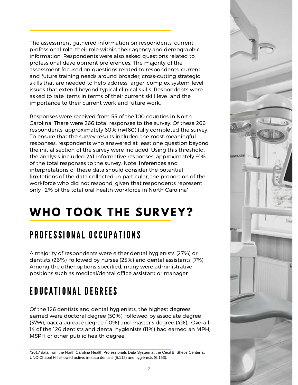The assessment gathered information on respondents' current professional role, their role within their agency and demographic information. Respondents were also asked questions related to professional development preferences. The majority of the assessment focused on questions related to respondents' current and future training needs around broader, cross-cutting strategic skills that are needed to help address larger, complex system-level issues that extend beyond typical clinical skills. Respondents were asked to rate items in terms of their current skill level and the importance to their current work and future work.

Responses were received from 55 of the 100 counties in North Carolina. There were 266 total responses to the survey. Of these 266 respondents, approximately 60% (n=160) fully completed the survey. To ensure that the survey results included the most meaningful responses, respondents who answered at least one question beyond the initial section of the survey were included. Using this threshold, the analysis included 241 informative responses, approximately 91% of the total responses to the survey. Note: Inferences and interpretations of these data should consider the potential limitations of the data collected, in particular, the proportion of the workforce who did not respond, given that respondents represent only ~2% of the total oral health workforce in North Carolina\*.

## **WHO TOOK THE SURVEY?**

### PROFESSIONAL OCCUPATIONS

A majority of respondents were either dental hygienists (27%) or dentists (26%), followed by nurses (25%) and dental assistants (7%). Among the other options specified, many were administrative positions such as medical/dental office assistant or manager.

### E DUCATIONAL DE GREES

Of the 126 dentists and dental hygienists, the highest degrees earned were doctoral degree (50%), followed by associate degree (37%), baccalaureate degree (10%) and master's degree (4%). Overall, 14 of the 126 dentists and dental hygienists (11%) had earned an MPH, MSPH or other public health degree.

\*2017 data from the North Carolina Health Professionals Data System at the Cecil B. Sheps Center at UNC-Chapel Hill showed active, in-state dentists (5,112) and hygienists (6,153).

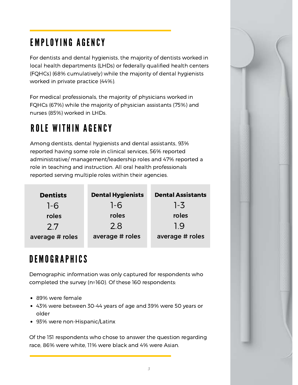### EMPLOYING AGENCY

For dentists and dental hygienists, the majority of dentists worked in local health departments (LHDs) or federally qualified health centers (FQHCs) (68% cumulatively) while the majority of dental hygienists worked in private practice (44%).

For medical professionals, the majority of physicians worked in FQHCs (67%) while the majority of physician assistants (75%) and nurses (85%) worked in LHDs.

### **ROLE WITHIN AGENCY**

Among dentists, dental hygienists and dental assistants, 93% reported having some role in clinical services, 56% reported administrative/ management/leadership roles and 47% reported a role in teaching and instruction. All oral health professionals reported serving multiple roles within their agencies.

| <b>Dentists</b> | <b>Dental Hygienists</b> | <b>Dental Assistants</b> |
|-----------------|--------------------------|--------------------------|
| $1-6$           | $1-6$                    | $1 - 3$                  |
| roles           | roles                    | roles                    |
| 27              | 2.8                      | 1.9                      |
| average # roles | average # roles          | average # roles          |

### D E M O G R A P H I C S

Demographic information was only captured for respondents who completed the survey (n=160). Of these 160 respondents:

- 89% were female
- 43% were between 30-44 years of age and 39% were 50 years or older
- 93% were non-Hispanic/Latinx

Of the 151 respondents who chose to answer the question regarding race, 86% were white, 11% were black and 4% were Asian.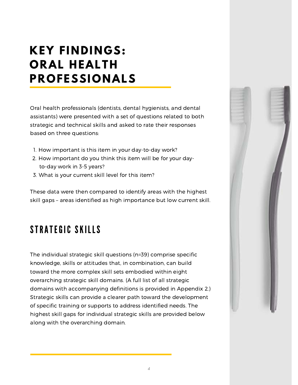### **KEY FINDINGS: ORAL HEALTH PROFESSIONALS**

Oral health professionals (dentists, dental hygienists, and dental assistants) were presented with a set of questions related to both strategic and technical skills and asked to rate their responses based on three questions:

- 1. How important is this item in your day-to-day work?
- 2. How important do you think this item will be for your dayto-day work in 3-5 years?
- 3. What is your current skill level for this item?

These data were then compared to identify areas with the highest skill gaps – areas identified as high importance but low current skill.

### STRATEGIC SKILLS

The individual strategic skill questions (n=39) comprise specific knowledge, skills or attitudes that, in combination, can build toward the more complex skill sets embodied within eight overarching strategic skill domains. (A full list of all strategic domains with accompanying definitions is provided in Appendix 2.) Strategic skills can provide a clearer path toward the development of specific training or supports to address identified needs. The highest skill gaps for individual strategic skills are provided below along with the overarching domain.

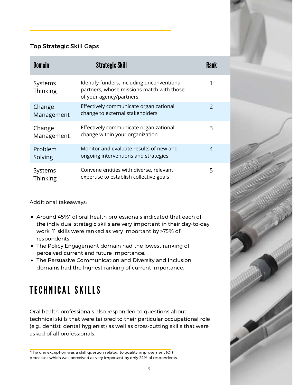#### Top Strategic Skill Gaps

| <b>Domain</b>        | <b>Strategic Skill</b>                                                                                             | Rank          |
|----------------------|--------------------------------------------------------------------------------------------------------------------|---------------|
| Systems<br>Thinking  | Identify funders, including unconventional<br>partners, whose missions match with those<br>of your agency/partners |               |
| Change<br>Management | Effectively communicate organizational<br>change to external stakeholders                                          | $\mathcal{P}$ |
| Change<br>Management | Effectively communicate organizational<br>change within your organization                                          | 3             |
| Problem<br>Solving   | Monitor and evaluate results of new and<br>ongoing interventions and strategies                                    | 4             |
| Systems<br>Thinking  | Convene entities with diverse, relevant<br>expertise to establish collective goals                                 | 5             |

Additional takeaways:

- Around 45%\* of oral health professionals indicated that each of the individual strategic skills are very important in their day-to-day work; 11 skills were ranked as very important by >75% of respondents.
- The Policy Engagement domain had the lowest ranking of perceived current and future importance.
- The Persuasive Communication and Diversity and Inclusion domains had the highest ranking of current importance.

### TECHNICAL SKILLS

Oral health professionals also responded to questions about technical skills that were tailored to their particular occupational role (e.g., dentist, dental hygienist) as well as cross-cutting skills that were asked of all professionals.

\*The one exception was a skill question related to quality improvement (QI) processes which was perceived as very important by only 24% of respondents.

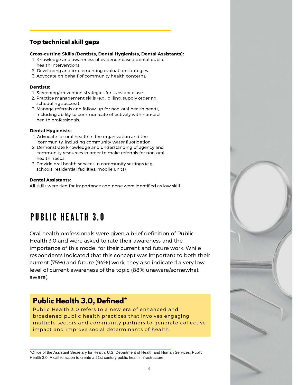#### Top technical skill gaps

#### **Cross-cutting Skills (Dentists, Dental Hygienists, Dental Assistants):**

- 1. Knowledge and awareness of evidence-based dental public health interventions.
- 2. Developing and implementing evaluation strategies.
- 3. Advocate on behalf of community health concerns.

#### **Dentists:**

- 1. Screening/prevention strategies for substance use.
- 2. Practice management skills (e.g., billing, supply ordering, scheduling success).
- 3. Manage referrals and follow-up for non-oral health needs, including ability to communicate effectively with non-oral health professionals.

#### **Dental Hygienists:**

- 1. Advocate for oral health in the organization and the community, including community water fluoridation.
- 2. Demonstrate knowledge and understanding of agency and community resources in order to make referrals for non-oral health needs.
- 3. Provide oral health services in community settings (e.g., schools, residential facilities, mobile units).

#### **Dental Assistants:**

All skills were tied for importance and none were identified as low skill.

### **PUBLIC HEALTH 3.0**

Oral health professionals were given a brief definition of Public Health 3.0 and were asked to rate their awareness and the importance of this model for their current and future work. While respondents indicated that this concept was important to both their current (75%) and future (94%) work, they also indicated a very low level of current awareness of the topic (88% unaware/somewhat aware).

#### **Public Health 3.0, Defined\***

Public Health 3.0 refers to a new era of enhanced and broadened public health practices that involves engaging multiple sectors and community partners to generate collective impact and improve social determinants of health.

\*Office of the Assistant Secretary for Health, U.S. Department of Health and Human Services. Public Health 3.0: A call to action to create a 21st century public health infrastructure.

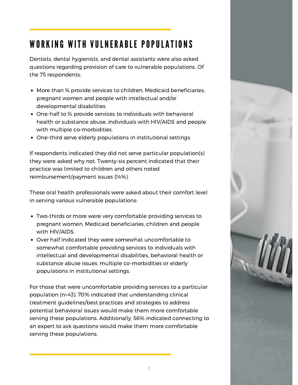### WORKING WITH VULNERABLE POPULATIONS

Dentists, dental hygienists, and dental assistants were also asked questions regarding provision of care to vulnerable populations. Of the 75 respondents:

- More than ¾ provide services to children, Medicaid beneficiaries, pregnant women and people with intellectual and/or developmental disabilities.
- One-half to ¾ provide services to individuals with behavioral health or substance abuse, individuals with HIV/AIDS and people with multiple co-morbidities.
- One-third serve elderly populations in institutional settings.

If respondents indicated they did not serve particular population(s) they were asked why not. Twenty-six percent indicated that their practice was limited to children and others noted reimbursement/payment issues (14%).

These oral health professionals were asked about their comfort level in serving various vulnerable populations:

- Two-thirds or more were very comfortable providing services to pregnant women, Medicaid beneficiaries, children and people with HIV/AIDS.
- Over half indicated they were somewhat uncomfortable to somewhat comfortable providing services to individuals with intellectual and developmental disabilities, behavioral health or substance abuse issues, multiple co-morbidities or elderly populations in institutional settings.

For those that were uncomfortable providing services to a particular population (n=43), 70% indicated that understanding clinical treatment guidelines/best practices and strategies to address potential behavioral issues would make them more comfortable serving these populations. Additionally, 56% indicated connecting to an expert to ask questions would make them more comfortable serving these populations.

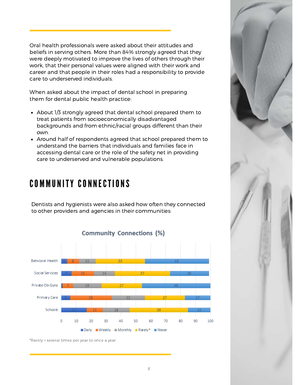Oral health professionals were asked about their attitudes and beliefs in serving others. More than 84% strongly agreed that they were deeply motivated to improve the lives of others through their work, that their personal values were aligned with their work and career and that people in their roles had a responsibility to provide care to underserved individuals.

When asked about the impact of dental school in preparing them for dental public health practice:

- About 1/3 strongly agreed that dental school prepared them to treat patients from socioeconomically disadvantaged backgrounds and from ethnic/racial groups different than their own.
- Around half of respondents agreed that school prepared them to understand the barriers that individuals and families face in accessing dental care or the role of the safety net in providing care to underserved and vulnerable populations.

### COMMUNITY CONNECTIONS

Dentists and hygienists were also asked how often they connected to other providers and agencies in their communities:



\*Rarely = several times per year to once a year

*8*

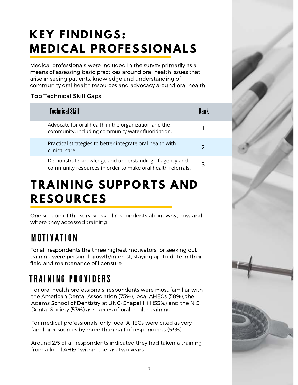## **KEY FINDINGS: MEDICAL PROFESSIONALS**

Medical professionals were included in the survey primarily as a means of assessing basic practices around oral health issues that arise in seeing patients, knowledge and understanding of community oral health resources and advocacy around oral health.

#### Top Technical Skill Gaps

| <b>Technical Skill</b>                                                                                               |   |
|----------------------------------------------------------------------------------------------------------------------|---|
| Advocate for oral health in the organization and the<br>community, including community water fluoridation.           | 1 |
| Practical strategies to better integrate oral health with<br>clinical care.                                          | 2 |
| Demonstrate knowledge and understanding of agency and<br>community resources in order to make oral health referrals. | 3 |

### **TRAINING SUPPORTS AND RESOURCES**

One section of the survey asked respondents about why, how and where they accessed training.

### **MOTIVATION**

For all respondents the three highest motivators for seeking out training were personal growth/interest, staying up-to-date in their field and maintenance of licensure.

### TRAINING PROVIDERS

For oral health professionals, respondents were most familiar with the American Dental Association (75%), local AHECs (58%), the Adams School of Dentistry at UNC-Chapel Hill (55%) and the N.C. Dental Society (53%) as sources of oral health training.

For medical professionals, only local AHECs were cited as very familiar resources by more than half of respondents (53%).

Around 2/5 of all respondents indicated they had taken a training from a local AHEC within the last two years.

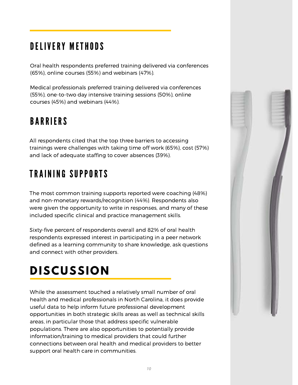### D EL I VERY METHODS

Oral health respondents preferred training delivered via conferences (65%), online courses (55%) and webinars (47%).

Medical professionals preferred training delivered via conferences (55%), one-to-two day intensive training sessions (50%), online courses (45%) and webinars (44%).

### **BARRIERS**

All respondents cited that the top three barriers to accessing trainings were challenges with taking time off work (65%), cost (57%) and lack of adequate staffing to cover absences (39%).

### **TRAINING SUPPORTS**

The most common training supports reported were coaching (48%) and non-monetary rewards/recognition (44%). Respondents also were given the opportunity to write in responses, and many of these included specific clinical and practice management skills.

Sixty-five percent of respondents overall and 82% of oral health respondents expressed interest in participating in a peer network defined as a learning community to share knowledge, ask questions and connect with other providers.

## **DISCUSSION**

While the assessment touched a relatively small number of oral health and medical professionals in North Carolina, it does provide useful data to help inform future professional development opportunities in both strategic skills areas as well as technical skills areas, in particular those that address specific vulnerable populations. There are also opportunities to potentially provide information/training to medical providers that could further connections between oral health and medical providers to better support oral health care in communities.

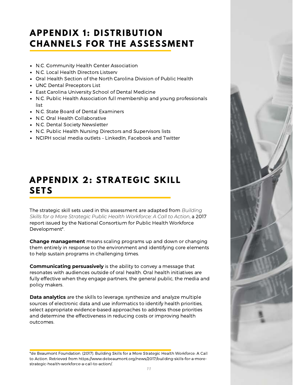### **APPENDIX 1: DISTRIBUTION CHANNELS FOR THE ASSESSMENT**

- N.C. Community Health Center Association
- N.C. Local Health Directors Listserv
- Oral Health Section of the North Carolina Division of Public Health
- UNC Dental Preceptors List
- East Carolina University School of Dental Medicine
- N.C. Public Health Association full membership and young professionals list
- N.C. State Board of Dental Examiners
- N.C. Oral Health Collaborative
- N.C. Dental Society Newsletter
- N.C. Public Health Nursing Directors and Supervisors lists
- NCIPH social media outlets LinkedIn, Facebook and Twitter

### **APPENDIX 2: STRATEGIC SKILL SETS**

The strategic skill sets used in this assessment are adapted from *Building Skills for a More Strategic Public Health Workforce: A Call to Action*, a 2017 report issued by the National Consortium for Public Health Workforce Development\*.

**Change management** means scaling programs up and down or changing them entirely in response to the environment and identifying core elements to help sustain programs in challenging times.

**Communicating persuasively** is the ability to convey a message that resonates with audiences outside of oral health. Oral health initiatives are fully effective when they engage partners, the general public, the media and policy makers.

**Data analytics** are the skills to leverage, synthesize and analyze multiple sources of electronic data and use informatics to identify health priorities, select appropriate evidence-based approaches to address those priorities and determine the effectiveness in reducing costs or improving health outcomes.

\*de Beaumont Foundation. (2017). Building Skills for a More Strategic Health Workforce: A Call to Action. Retrieved from https://www.debeaumont.org/news/2017/building-skills-for-a-morestrategic-health-workforce-a-call-to-action/.